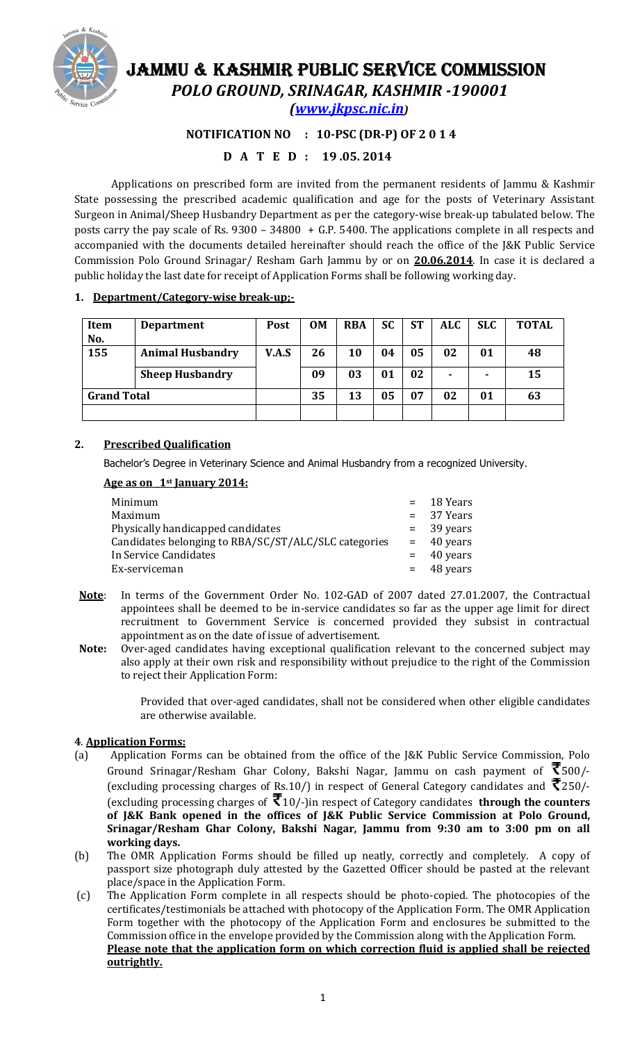

# JAMMU & KASHMIR PUBLIC SERVICE COMMISSION POLO GROUND, SRINAGAR, KASHMIR -190001

(www.jkpsc.nic.in)

### NOTIFICATION NO : 10-PSC (DR-P) OF 2014

## D A T E D : 19 .05. 2014

Applications on prescribed form are invited from the permanent residents of Jammu & Kashmir State possessing the prescribed academic qualification and age for the posts of Veterinary Assistant Surgeon in Animal/Sheep Husbandry Department as per the category-wise break-up tabulated below. The posts carry the pay scale of Rs. 9300 – 34800 + G.P. 5400. The applications complete in all respects and accompanied with the documents detailed hereinafter should reach the office of the J&K Public Service Commission Polo Ground Srinagar/ Resham Garh Jammu by or on 20.06.2014. In case it is declared a public holiday the last date for receipt of Application Forms shall be following working day.

#### 1. Department/Category-wise break-up;-

| <b>Item</b>        | <b>Department</b>       | Post  | <b>OM</b> | <b>RBA</b> | <b>SC</b> | <b>ST</b> | ALC. | <b>SLC</b> | <b>TOTAL</b> |
|--------------------|-------------------------|-------|-----------|------------|-----------|-----------|------|------------|--------------|
| No.                |                         |       |           |            |           |           |      |            |              |
| 155                | <b>Animal Husbandry</b> | V.A.S | 26        | 10         | 04        | 05        | 02   | 01         | 48           |
|                    | <b>Sheep Husbandry</b>  |       | 09        | 03         | 01        | 02        |      |            | 15           |
| <b>Grand Total</b> |                         |       | 35        | 13         | 05        | 07        | 02   | 01         | 63           |
|                    |                         |       |           |            |           |           |      |            |              |

#### 2. Prescribed Qualification

Bachelor's Degree in Veterinary Science and Animal Husbandry from a recognized University.

#### Age as on 1<sup>st</sup> January 2014:

|                                                      | $=$ 18 Years |
|------------------------------------------------------|--------------|
| Minimum                                              |              |
| Maximum                                              | $= 37$ Years |
| Physically handicapped candidates                    | $=$ 39 years |
| Candidates belonging to RBA/SC/ST/ALC/SLC categories | $=$ 40 years |
| In Service Candidates                                | $=$ 40 years |
| Ex-serviceman                                        | $=$ 48 years |

- Note: In terms of the Government Order No. 102-GAD of 2007 dated 27.01.2007, the Contractual appointees shall be deemed to be in-service candidates so far as the upper age limit for direct recruitment to Government Service is concerned provided they subsist in contractual appointment as on the date of issue of advertisement.
- Note: Over-aged candidates having exceptional qualification relevant to the concerned subject may also apply at their own risk and responsibility without prejudice to the right of the Commission to reject their Application Form:

Provided that over-aged candidates, shall not be considered when other eligible candidates are otherwise available.

#### 4. Application Forms:

- (a) Application Forms can be obtained from the office of the J&K Public Service Commission, Polo Ground Srinagar/Resham Ghar Colony, Bakshi Nagar, Jammu on cash payment of  $\bar{\mathfrak{F}}$ 500/-(excluding processing charges of Rs.10/) in respect of General Category candidates and  $\bar{\mathbf{\mathcal{R}}}$ 250/-(excluding processing charges of  $\bar{\mathfrak{F}}$  10/-)in respect of Category candidates **through the counters** of J&K Bank opened in the offices of J&K Public Service Commission at Polo Ground, Srinagar/Resham Ghar Colony, Bakshi Nagar, Jammu from 9:30 am to 3:00 pm on all working days.
- (b) The OMR Application Forms should be filled up neatly, correctly and completely. A copy of passport size photograph duly attested by the Gazetted Officer should be pasted at the relevant place/space in the Application Form.
- (c) The Application Form complete in all respects should be photo-copied. The photocopies of the certificates/testimonials be attached with photocopy of the Application Form. The OMR Application Form together with the photocopy of the Application Form and enclosures be submitted to the Commission office in the envelope provided by the Commission along with the Application Form. Please note that the application form on which correction fluid is applied shall be rejected outrightly.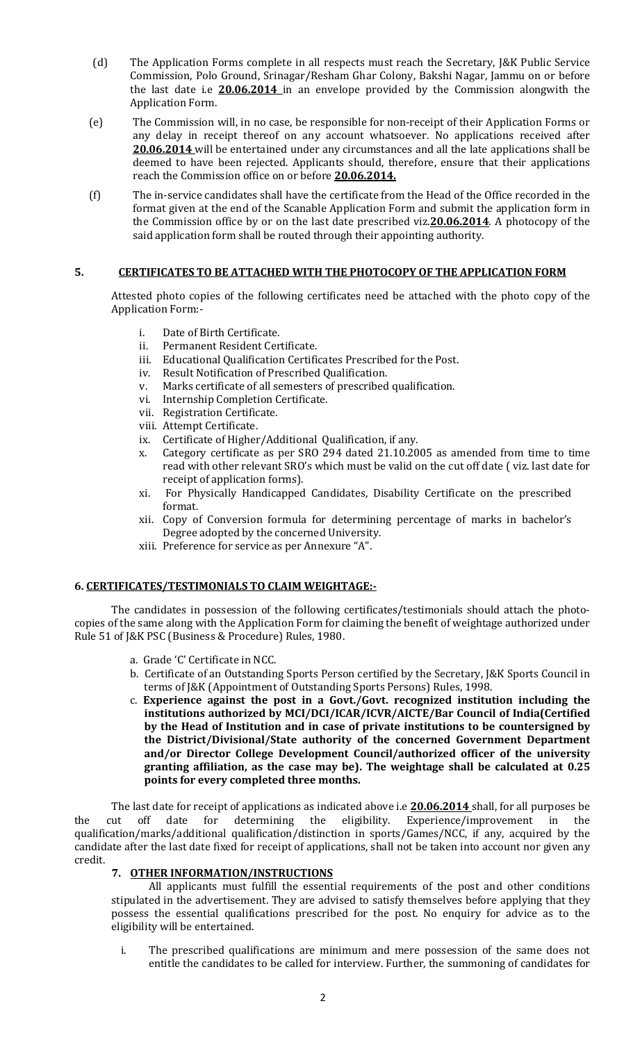- (d) The Application Forms complete in all respects must reach the Secretary, J&K Public Service Commission, Polo Ground, Srinagar/Resham Ghar Colony, Bakshi Nagar, Jammu on or before the last date i.e **20.06.2014** in an envelope provided by the Commission alongwith the Application Form.
- (e) The Commission will, in no case, be responsible for non-receipt of their Application Forms or any delay in receipt thereof on any account whatsoever. No applications received after 20.06.2014 will be entertained under any circumstances and all the late applications shall be deemed to have been rejected. Applicants should, therefore, ensure that their applications reach the Commission office on or before 20.06.2014.
- (f) The in-service candidates shall have the certificate from the Head of the Office recorded in the format given at the end of the Scanable Application Form and submit the application form in the Commission office by or on the last date prescribed viz. **20.06.2014**. A photocopy of the said application form shall be routed through their appointing authority.

#### 5. CERTIFICATES TO BE ATTACHED WITH THE PHOTOCOPY OF THE APPLICATION FORM

Attested photo copies of the following certificates need be attached with the photo copy of the Application Form:-

- i. Date of Birth Certificate.
- ii. Permanent Resident Certificate.
- iii. Educational Qualification Certificates Prescribed for the Post.
- iv. Result Notification of Prescribed Qualification.
- v. Marks certificate of all semesters of prescribed qualification.
- vi. Internship Completion Certificate.
- vii. Registration Certificate.
- viii. Attempt Certificate.
- ix. Certificate of Higher/Additional Qualification, if any.
- x. Category certificate as per SRO 294 dated 21.10.2005 as amended from time to time read with other relevant SRO's which must be valid on the cut off date ( viz. last date for receipt of application forms).
- xi. For Physically Handicapped Candidates, Disability Certificate on the prescribed format.
- xii. Copy of Conversion formula for determining percentage of marks in bachelor's Degree adopted by the concerned University.
- xiii. Preference for service as per Annexure "A".

#### 6. CERTIFICATES/TESTIMONIALS TO CLAIM WEIGHTAGE:-

The candidates in possession of the following certificates/testimonials should attach the photocopies of the same along with the Application Form for claiming the benefit of weightage authorized under Rule 51 of J&K PSC (Business & Procedure) Rules, 1980.

- a. Grade 'C' Certificate in NCC.
- b. Certificate of an Outstanding Sports Person certified by the Secretary, J&K Sports Council in terms of J&K (Appointment of Outstanding Sports Persons) Rules, 1998.
- c. Experience against the post in a Govt./Govt. recognized institution including the institutions authorized by MCI/DCI/ICAR/ICVR/AICTE/Bar Council of India(Certified by the Head of Institution and in case of private institutions to be countersigned by the District/Divisional/State authority of the concerned Government Department and/or Director College Development Council/authorized officer of the university granting affiliation, as the case may be). The weightage shall be calculated at 0.25 points for every completed three months.

The last date for receipt of applications as indicated above i.e 20.06.2014 shall, for all purposes be the cut off date for determining the eligibility. Experience/improvement in the qualification/marks/additional qualification/distinction in sports/Games/NCC, if any, acquired by the candidate after the last date fixed for receipt of applications, shall not be taken into account nor given any credit.

#### 7. OTHER INFORMATION/INSTRUCTIONS

All applicants must fulfill the essential requirements of the post and other conditions stipulated in the advertisement. They are advised to satisfy themselves before applying that they possess the essential qualifications prescribed for the post. No enquiry for advice as to the eligibility will be entertained.

i. The prescribed qualifications are minimum and mere possession of the same does not entitle the candidates to be called for interview. Further, the summoning of candidates for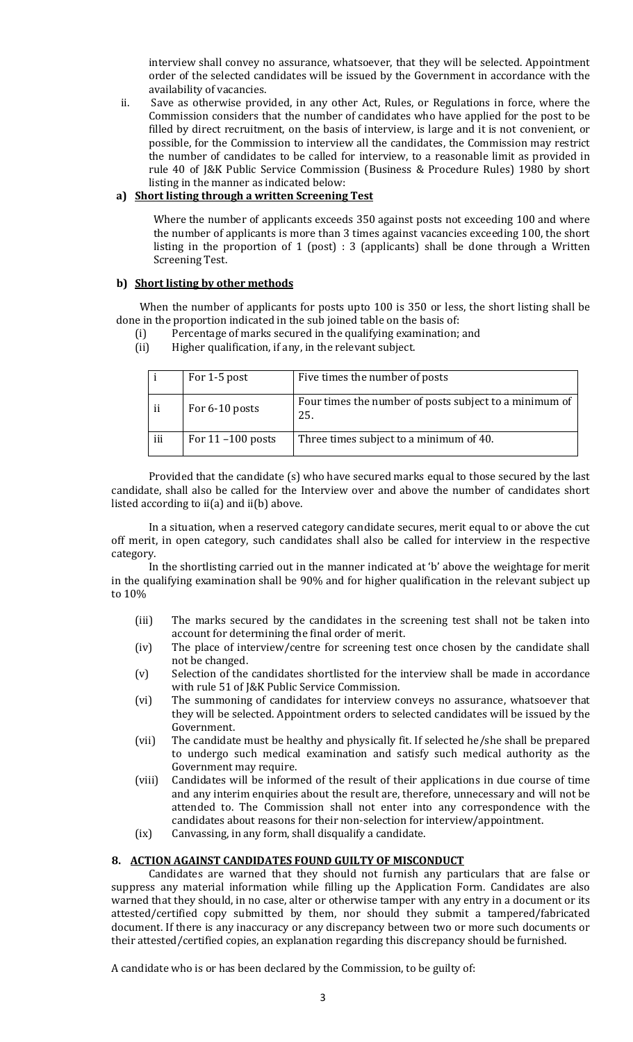interview shall convey no assurance, whatsoever, that they will be selected. Appointment order of the selected candidates will be issued by the Government in accordance with the availability of vacancies.

ii. Save as otherwise provided, in any other Act, Rules, or Regulations in force, where the Commission considers that the number of candidates who have applied for the post to be filled by direct recruitment, on the basis of interview, is large and it is not convenient, or possible, for the Commission to interview all the candidates, the Commission may restrict the number of candidates to be called for interview, to a reasonable limit as provided in rule 40 of J&K Public Service Commission (Business & Procedure Rules) 1980 by short listing in the manner as indicated below:

#### a) Short listing through a written Screening Test

Where the number of applicants exceeds 350 against posts not exceeding 100 and where the number of applicants is more than 3 times against vacancies exceeding 100, the short listing in the proportion of 1 (post) : 3 (applicants) shall be done through a Written Screening Test.

#### b) Short listing by other methods

 When the number of applicants for posts upto 100 is 350 or less, the short listing shall be done in the proportion indicated in the sub joined table on the basis of:

- (i) Percentage of marks secured in the qualifying examination; and
- (ii) Higher qualification, if any, in the relevant subject.

|     | For 1-5 post         | Five times the number of posts                                |
|-----|----------------------|---------------------------------------------------------------|
| ii  | For 6-10 posts       | Four times the number of posts subject to a minimum of<br>25. |
| iii | For $11 - 100$ posts | Three times subject to a minimum of 40.                       |

Provided that the candidate (s) who have secured marks equal to those secured by the last candidate, shall also be called for the Interview over and above the number of candidates short listed according to ii(a) and ii(b) above.

In a situation, when a reserved category candidate secures, merit equal to or above the cut off merit, in open category, such candidates shall also be called for interview in the respective category.

In the shortlisting carried out in the manner indicated at 'b' above the weightage for merit in the qualifying examination shall be 90% and for higher qualification in the relevant subject up to 10%

- (iii) The marks secured by the candidates in the screening test shall not be taken into account for determining the final order of merit.
- (iv) The place of interview/centre for screening test once chosen by the candidate shall not be changed.
- (v) Selection of the candidates shortlisted for the interview shall be made in accordance with rule 51 of J&K Public Service Commission.
- (vi) The summoning of candidates for interview conveys no assurance, whatsoever that they will be selected. Appointment orders to selected candidates will be issued by the Government.
- (vii) The candidate must be healthy and physically fit. If selected he/she shall be prepared to undergo such medical examination and satisfy such medical authority as the Government may require.
- (viii) Candidates will be informed of the result of their applications in due course of time and any interim enquiries about the result are, therefore, unnecessary and will not be attended to. The Commission shall not enter into any correspondence with the candidates about reasons for their non-selection for interview/appointment.
- (ix) Canvassing, in any form, shall disqualify a candidate.

#### 8. ACTION AGAINST CANDIDATES FOUND GUILTY OF MISCONDUCT

Candidates are warned that they should not furnish any particulars that are false or suppress any material information while filling up the Application Form. Candidates are also warned that they should, in no case, alter or otherwise tamper with any entry in a document or its attested/certified copy submitted by them, nor should they submit a tampered/fabricated document. If there is any inaccuracy or any discrepancy between two or more such documents or their attested/certified copies, an explanation regarding this discrepancy should be furnished.

A candidate who is or has been declared by the Commission, to be guilty of: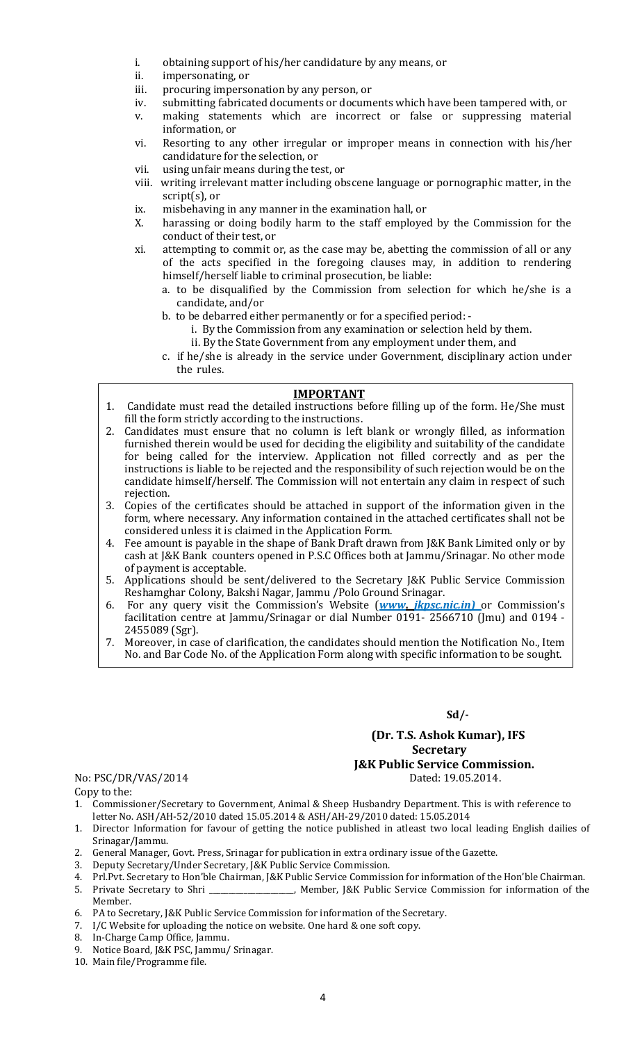- i. obtaining support of his/her candidature by any means, or
- ii. impersonating, or
- iii. procuring impersonation by any person, or
- iv. submitting fabricated documents or documents which have been tampered with, or
- v. making statements which are incorrect or false or suppressing material information, or
- vi. Resorting to any other irregular or improper means in connection with his/her candidature for the selection, or
- vii. using unfair means during the test, or
- viii. writing irrelevant matter including obscene language or pornographic matter, in the script(s), or
- ix. misbehaving in any manner in the examination hall, or
- X. harassing or doing bodily harm to the staff employed by the Commission for the conduct of their test, or
- xi. attempting to commit or, as the case may be, abetting the commission of all or any of the acts specified in the foregoing clauses may, in addition to rendering himself/herself liable to criminal prosecution, be liable:
	- a. to be disqualified by the Commission from selection for which he/she is a candidate, and/or
	- b. to be debarred either permanently or for a specified period:
		- i. By the Commission from any examination or selection held by them.
		- ii. By the State Government from any employment under them, and
	- c. if he/she is already in the service under Government, disciplinary action under the rules.

#### IMPORTANT

- 1. Candidate must read the detailed instructions before filling up of the form. He/She must fill the form strictly according to the instructions.
- 2. Candidates must ensure that no column is left blank or wrongly filled, as information furnished therein would be used for deciding the eligibility and suitability of the candidate for being called for the interview. Application not filled correctly and as per the instructions is liable to be rejected and the responsibility of such rejection would be on the candidate himself/herself. The Commission will not entertain any claim in respect of such rejection.
- 3. Copies of the certificates should be attached in support of the information given in the form, where necessary. Any information contained in the attached certificates shall not be considered unless it is claimed in the Application Form.
- 4. Fee amount is payable in the shape of Bank Draft drawn from J&K Bank Limited only or by cash at J&K Bank counters opened in P.S.C Offices both at Jammu/Srinagar. No other mode of payment is acceptable.
- 5. Applications should be sent/delivered to the Secretary J&K Public Service Commission Reshamghar Colony, Bakshi Nagar, Jammu /Polo Ground Srinagar.
- 6. For any query visit the Commission's Website (www. *jkpsc.nic.in*) or Commission's facilitation centre at Jammu/Srinagar or dial Number 0191- 2566710 (Jmu) and 0194 - 2455089 (Sgr).
- 7. Moreover, in case of clarification, the candidates should mention the Notification No., Item No. and Bar Code No. of the Application Form along with specific information to be sought.

Sd/-

## (Dr. T.S. Ashok Kumar), IFS Secretary J&K Public Service Commission.<br>Dated: 19.05.2014.

No: PSC/DR/VAS/2014 Copy to the:

- 1. Commissioner/Secretary to Government, Animal & Sheep Husbandry Department. This is with reference to letter No. ASH/AH-52/2010 dated 15.05.2014 & ASH/AH-29/2010 dated: 15.05.2014
- 1. Director Information for favour of getting the notice published in atleast two local leading English dailies of Srinagar/Jammu.
- 2. General Manager, Govt. Press, Srinagar for publication in extra ordinary issue of the Gazette.
- 3. Deputy Secretary/Under Secretary, J&K Public Service Commission.
- 4. Prl.Pvt. Secretary to Hon'ble Chairman, J&K Public Service Commission for information of the Hon'ble Chairman.
- 5. Private Secretary to Shri \_\_\_\_\_\_\_\_\_\_\_\_\_\_\_\_\_\_\_\_\_\_, Member, J&K Public Service Commission for information of the Member.
- 6. PA to Secretary, J&K Public Service Commission for information of the Secretary.
- 7. I/C Website for uploading the notice on website. One hard & one soft copy.
- 8. In-Charge Camp Office, Jammu.
- 9. Notice Board, J&K PSC, Jammu/ Srinagar.
- 10. Main file/Programme file.